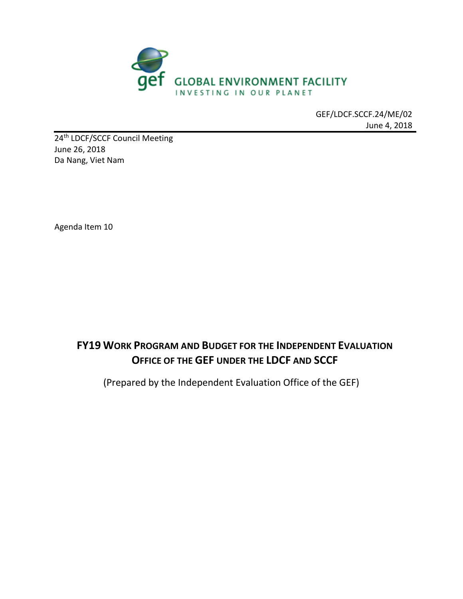

GEF/LDCF.SCCF.24/ME/02 June 4, 2018

24<sup>th</sup> LDCF/SCCF Council Meeting June 26, 2018 Da Nang, Viet Nam

Agenda Item 10

# **FY19 WORK PROGRAM AND BUDGET FOR THE INDEPENDENT EVALUATION OFFICE OF THE GEF UNDER THE LDCF AND SCCF**

(Prepared by the Independent Evaluation Office of the GEF)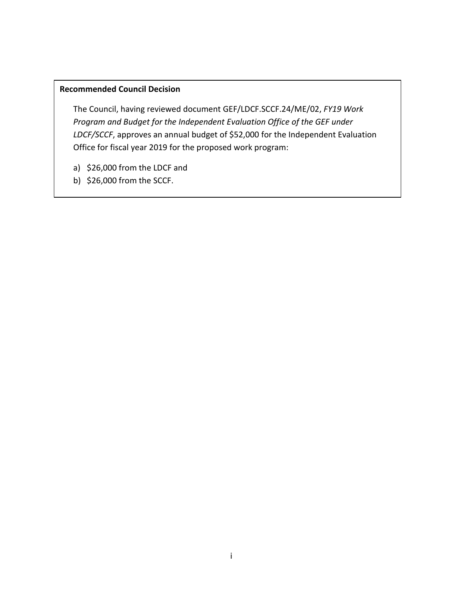#### **Recommended Council Decision**

The Council, having reviewed document GEF/LDCF.SCCF.24/ME/02, *FY19 Work Program and Budget for the Independent Evaluation Office of the GEF under LDCF/SCCF*, approves an annual budget of \$52,000 for the Independent Evaluation Office for fiscal year 2019 for the proposed work program:

- a) \$26,000 from the LDCF and
- b) \$26,000 from the SCCF.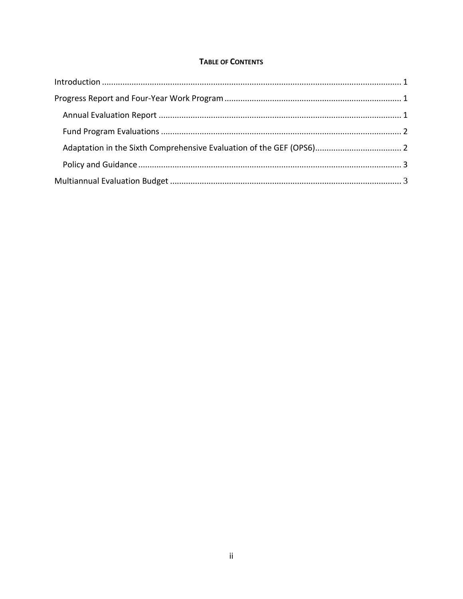#### **TABLE OF CONTENTS**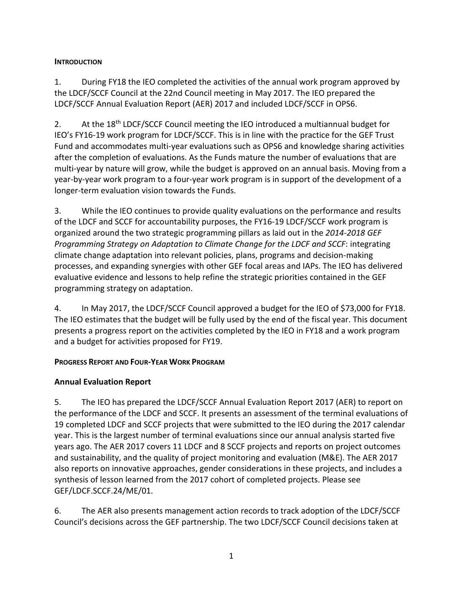#### <span id="page-3-0"></span>**INTRODUCTION**

1. During FY18 the IEO completed the activities of the annual work program approved by the LDCF/SCCF Council at the 22nd Council meeting in May 2017. The IEO prepared the LDCF/SCCF Annual Evaluation Report (AER) 2017 and included LDCF/SCCF in OPS6.

2. At the 18<sup>th</sup> LDCF/SCCF Council meeting the IEO introduced a multiannual budget for IEO's FY16-19 work program for LDCF/SCCF. This is in line with the practice for the GEF Trust Fund and accommodates multi-year evaluations such as OPS6 and knowledge sharing activities after the completion of evaluations. As the Funds mature the number of evaluations that are multi-year by nature will grow, while the budget is approved on an annual basis. Moving from a year-by-year work program to a four-year work program is in support of the development of a longer-term evaluation vision towards the Funds.

3. While the IEO continues to provide quality evaluations on the performance and results of the LDCF and SCCF for accountability purposes, the FY16-19 LDCF/SCCF work program is organized around the two strategic programming pillars as laid out in the *2014-2018 GEF Programming Strategy on Adaptation to Climate Change for the LDCF and SCCF*: integrating climate change adaptation into relevant policies, plans, programs and decision-making processes, and expanding synergies with other GEF focal areas and IAPs. The IEO has delivered evaluative evidence and lessons to help refine the strategic priorities contained in the GEF programming strategy on adaptation.

4. In May 2017, the LDCF/SCCF Council approved a budget for the IEO of \$73,000 for FY18. The IEO estimates that the budget will be fully used by the end of the fiscal year. This document presents a progress report on the activities completed by the IEO in FY18 and a work program and a budget for activities proposed for FY19.

#### <span id="page-3-1"></span>**PROGRESS REPORT AND FOUR-YEAR WORK PROGRAM**

#### <span id="page-3-2"></span>**Annual Evaluation Report**

5. The IEO has prepared the LDCF/SCCF Annual Evaluation Report 2017 (AER) to report on the performance of the LDCF and SCCF. It presents an assessment of the terminal evaluations of 19 completed LDCF and SCCF projects that were submitted to the IEO during the 2017 calendar year. This is the largest number of terminal evaluations since our annual analysis started five years ago. The AER 2017 covers 11 LDCF and 8 SCCF projects and reports on project outcomes and sustainability, and the quality of project monitoring and evaluation (M&E). The AER 2017 also reports on innovative approaches, gender considerations in these projects, and includes a synthesis of lesson learned from the 2017 cohort of completed projects. Please see GEF/LDCF.SCCF.24/ME/01.

6. The AER also presents management action records to track adoption of the LDCF/SCCF Council's decisions across the GEF partnership. The two LDCF/SCCF Council decisions taken at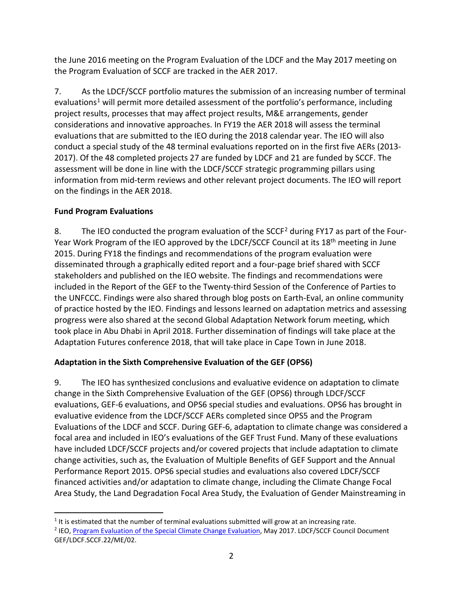the June 2016 meeting on the Program Evaluation of the LDCF and the May 2017 meeting on the Program Evaluation of SCCF are tracked in the AER 2017.

7. As the LDCF/SCCF portfolio matures the submission of an increasing number of terminal evaluations<sup>[1](#page-4-2)</sup> will permit more detailed assessment of the portfolio's performance, including project results, processes that may affect project results, M&E arrangements, gender considerations and innovative approaches. In FY19 the AER 2018 will assess the terminal evaluations that are submitted to the IEO during the 2018 calendar year. The IEO will also conduct a special study of the 48 terminal evaluations reported on in the first five AERs (2013- 2017). Of the 48 completed projects 27 are funded by LDCF and 21 are funded by SCCF. The assessment will be done in line with the LDCF/SCCF strategic programming pillars using information from mid-term reviews and other relevant project documents. The IEO will report on the findings in the AER 2018.

## <span id="page-4-0"></span>**Fund Program Evaluations**

8. The IEO conducted the program evaluation of the SCCF<sup>[2](#page-4-3)</sup> during FY17 as part of the Four-Year Work Program of the IEO approved by the LDCF/SCCF Council at its 18<sup>th</sup> meeting in June 2015. During FY18 the findings and recommendations of the program evaluation were disseminated through a graphically edited report and a four-page brief shared with SCCF stakeholders and published on the IEO website. The findings and recommendations were included in the Report of the GEF to the Twenty-third Session of the Conference of Parties to the UNFCCC. Findings were also shared through blog posts on Earth-Eval, an online community of practice hosted by the IEO. Findings and lessons learned on adaptation metrics and assessing progress were also shared at the second Global Adaptation Network forum meeting, which took place in Abu Dhabi in April 2018. Further dissemination of findings will take place at the Adaptation Futures conference 2018, that will take place in Cape Town in June 2018.

# <span id="page-4-1"></span>**Adaptation in the Sixth Comprehensive Evaluation of the GEF (OPS6)**

9. The IEO has synthesized conclusions and evaluative evidence on adaptation to climate change in the Sixth Comprehensive Evaluation of the GEF (OPS6) through LDCF/SCCF evaluations, GEF-6 evaluations, and OPS6 special studies and evaluations. OPS6 has brought in evaluative evidence from the LDCF/SCCF AERs completed since OPS5 and the Program Evaluations of the LDCF and SCCF. During GEF-6, adaptation to climate change was considered a focal area and included in IEO's evaluations of the GEF Trust Fund. Many of these evaluations have included LDCF/SCCF projects and/or covered projects that include adaptation to climate change activities, such as, the Evaluation of Multiple Benefits of GEF Support and the Annual Performance Report 2015. OPS6 special studies and evaluations also covered LDCF/SCCF financed activities and/or adaptation to climate change, including the Climate Change Focal Area Study, the Land Degradation Focal Area Study, the Evaluation of Gender Mainstreaming in

<span id="page-4-2"></span> $\overline{a}$  $1$  It is estimated that the number of terminal evaluations submitted will grow at an increasing rate.

<span id="page-4-3"></span><sup>&</sup>lt;sup>2</sup> IEO[, Program Evaluation of the Special Climate Change Evaluation,](http://www.thegef.org/council-meeting-documents/program-evaluation-special-climate-change-fund) May 2017. LDCF/SCCF Council Document GEF/LDCF.SCCF.22/ME/02.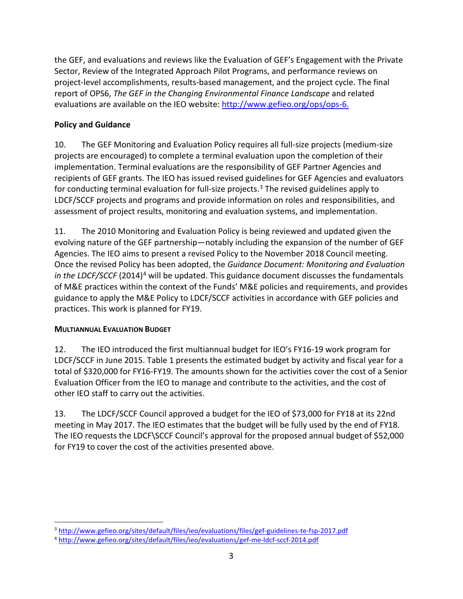the GEF, and evaluations and reviews like the Evaluation of GEF's Engagement with the Private Sector, Review of the Integrated Approach Pilot Programs, and performance reviews on project-level accomplishments, results-based management, and the project cycle. The final report of OPS6, *The GEF in the Changing Environmental Finance Landscape* and related evaluations are available on the IEO website: [http://www.gefieo.org/ops/ops-6.](http://www.gefieo.org/ops/ops-6)

## <span id="page-5-0"></span>**Policy and Guidance**

10. The GEF Monitoring and Evaluation Policy requires all full-size projects (medium-size projects are encouraged) to complete a terminal evaluation upon the completion of their implementation. Terminal evaluations are the responsibility of GEF Partner Agencies and recipients of GEF grants. The IEO has issued revised guidelines for GEF Agencies and evaluators for conducting terminal evaluation for full-size projects.<sup>[3](#page-5-2)</sup> The revised guidelines apply to LDCF/SCCF projects and programs and provide information on roles and responsibilities, and assessment of project results, monitoring and evaluation systems, and implementation.

11. The 2010 Monitoring and Evaluation Policy is being reviewed and updated given the evolving nature of the GEF partnership—notably including the expansion of the number of GEF Agencies. The IEO aims to present a revised Policy to the November 2018 Council meeting. Once the revised Policy has been adopted, the *Guidance Document: Monitoring and Evaluation in the LDCF/SCCF* (2014)<sup>4</sup> will be updated. This guidance document discusses the fundamentals of M&E practices within the context of the Funds' M&E policies and requirements, and provides guidance to apply the M&E Policy to LDCF/SCCF activities in accordance with GEF policies and practices. This work is planned for FY19.

#### <span id="page-5-1"></span>**MULTIANNUAL EVALUATION BUDGET**

12. The IEO introduced the first multiannual budget for IEO's FY16-19 work program for LDCF/SCCF in June 2015. Table 1 presents the estimated budget by activity and fiscal year for a total of \$320,000 for FY16-FY19. The amounts shown for the activities cover the cost of a Senior Evaluation Officer from the IEO to manage and contribute to the activities, and the cost of other IEO staff to carry out the activities.

13. The LDCF/SCCF Council approved a budget for the IEO of \$73,000 for FY18 at its 22nd meeting in May 2017. The IEO estimates that the budget will be fully used by the end of FY18. The IEO requests the LDCF\SCCF Council's approval for the proposed annual budget of \$52,000 for FY19 to cover the cost of the activities presented above.

<span id="page-5-2"></span> $\overline{a}$ <sup>3</sup> <http://www.gefieo.org/sites/default/files/ieo/evaluations/files/gef-guidelines-te-fsp-2017.pdf>

<span id="page-5-3"></span><sup>4</sup> <http://www.gefieo.org/sites/default/files/ieo/evaluations/gef-me-ldcf-sccf-2014.pdf>